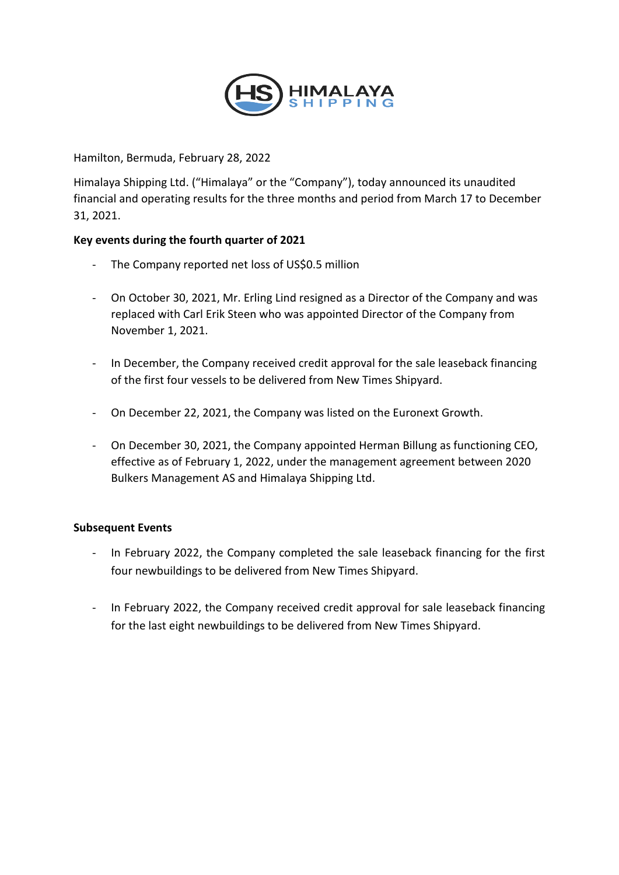

Hamilton, Bermuda, February 28, 2022

Himalaya Shipping Ltd. ("Himalaya" or the "Company"), today announced its unaudited financial and operating results for the three months and period from March 17 to December 31, 2021.

# **Key events during the fourth quarter of 2021**

- The Company reported net loss of US\$0.5 million
- On October 30, 2021, Mr. Erling Lind resigned as a Director of the Company and was replaced with Carl Erik Steen who was appointed Director of the Company from November 1, 2021.
- In December, the Company received credit approval for the sale leaseback financing of the first four vessels to be delivered from New Times Shipyard.
- On December 22, 2021, the Company was listed on the Euronext Growth.
- On December 30, 2021, the Company appointed Herman Billung as functioning CEO, effective as of February 1, 2022, under the management agreement between 2020 Bulkers Management AS and Himalaya Shipping Ltd.

#### **Subsequent Events**

- In February 2022, the Company completed the sale leaseback financing for the first four newbuildings to be delivered from New Times Shipyard.
- In February 2022, the Company received credit approval for sale leaseback financing for the last eight newbuildings to be delivered from New Times Shipyard.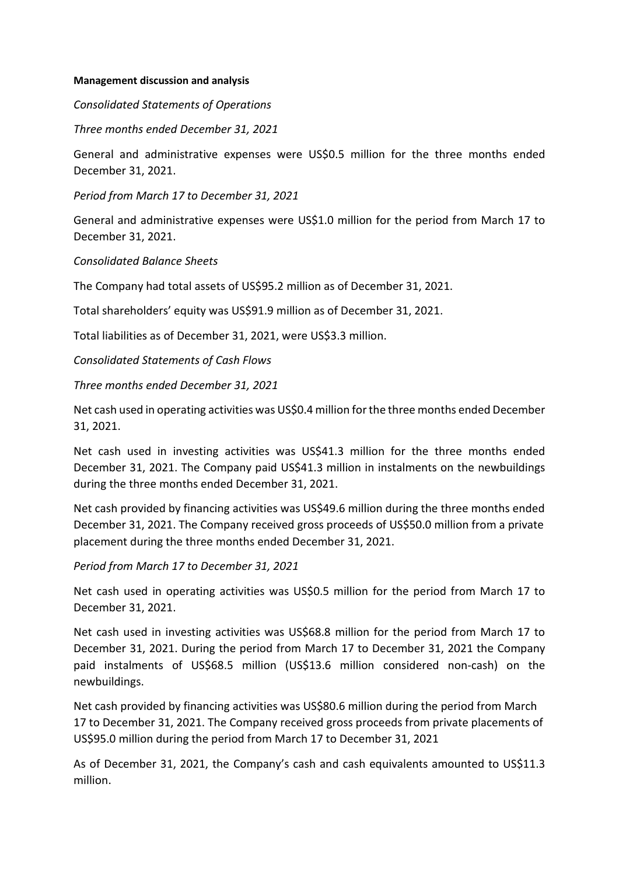#### **Management discussion and analysis**

*Consolidated Statements of Operations* 

*Three months ended December 31, 2021*

General and administrative expenses were US\$0.5 million for the three months ended December 31, 2021.

*Period from March 17 to December 31, 2021*

General and administrative expenses were US\$1.0 million for the period from March 17 to December 31, 2021.

*Consolidated Balance Sheets* 

The Company had total assets of US\$95.2 million as of December 31, 2021.

Total shareholders' equity was US\$91.9 million as of December 31, 2021.

Total liabilities as of December 31, 2021, were US\$3.3 million.

*Consolidated Statements of Cash Flows*

*Three months ended December 31, 2021* 

Net cash used in operating activities was US\$0.4 million for the three months ended December 31, 2021.

Net cash used in investing activities was US\$41.3 million for the three months ended December 31, 2021. The Company paid US\$41.3 million in instalments on the newbuildings during the three months ended December 31, 2021.

Net cash provided by financing activities was US\$49.6 million during the three months ended December 31, 2021. The Company received gross proceeds of US\$50.0 million from a private placement during the three months ended December 31, 2021.

*Period from March 17 to December 31, 2021*

Net cash used in operating activities was US\$0.5 million for the period from March 17 to December 31, 2021.

Net cash used in investing activities was US\$68.8 million for the period from March 17 to December 31, 2021. During the period from March 17 to December 31, 2021 the Company paid instalments of US\$68.5 million (US\$13.6 million considered non-cash) on the newbuildings.

Net cash provided by financing activities was US\$80.6 million during the period from March 17 to December 31, 2021. The Company received gross proceeds from private placements of US\$95.0 million during the period from March 17 to December 31, 2021

As of December 31, 2021, the Company's cash and cash equivalents amounted to US\$11.3 million.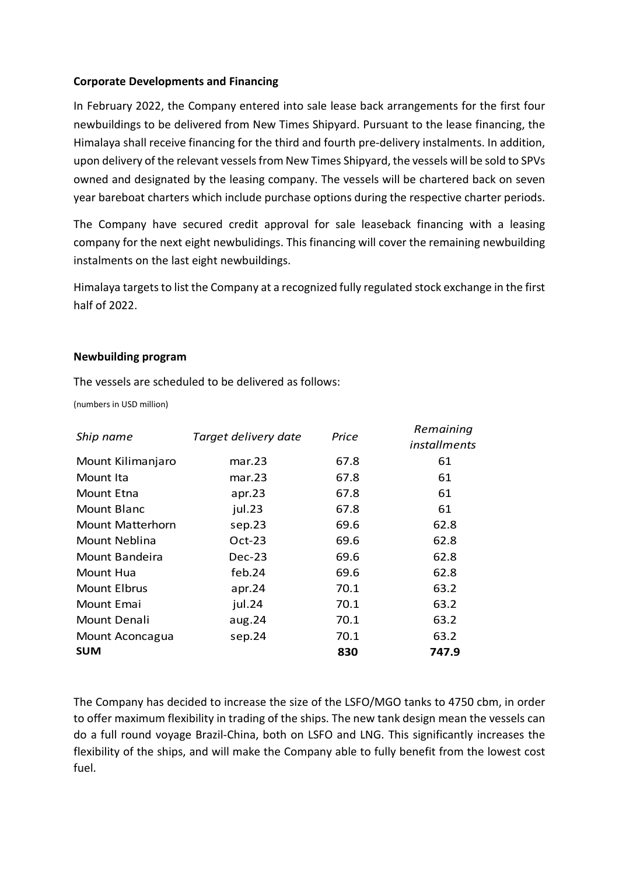### **Corporate Developments and Financing**

In February 2022, the Company entered into sale lease back arrangements for the first four newbuildings to be delivered from New Times Shipyard. Pursuant to the lease financing, the Himalaya shall receive financing for the third and fourth pre-delivery instalments. In addition, upon delivery of the relevant vessels from New Times Shipyard, the vessels will be sold to SPVs owned and designated by the leasing company. The vessels will be chartered back on seven year bareboat charters which include purchase options during the respective charter periods.

The Company have secured credit approval for sale leaseback financing with a leasing company for the next eight newbulidings. This financing will cover the remaining newbuilding instalments on the last eight newbuildings.

Himalaya targets to list the Company at a recognized fully regulated stock exchange in the first half of 2022.

#### **Newbuilding program**

The vessels are scheduled to be delivered as follows:

(numbers in USD million)

| Ship name           | Target delivery date | Price | Remaining<br><i>installments</i> |
|---------------------|----------------------|-------|----------------------------------|
| Mount Kilimanjaro   | mar.23               | 67.8  | 61                               |
| Mount Ita           | mar.23               | 67.8  | 61                               |
| Mount Etna          | apr.23               | 67.8  | 61                               |
| Mount Blanc         | jul.23               | 67.8  | 61                               |
| Mount Matterhorn    | sep.23               | 69.6  | 62.8                             |
| Mount Neblina       | $Oct-23$             | 69.6  | 62.8                             |
| Mount Bandeira      | $Dec-23$             | 69.6  | 62.8                             |
| Mount Hua           | feb. $24$            | 69.6  | 62.8                             |
| <b>Mount Elbrus</b> | apr.24               | 70.1  | 63.2                             |
| Mount Emai          | jul.24               | 70.1  | 63.2                             |
| Mount Denali        | aug.24               | 70.1  | 63.2                             |
| Mount Aconcagua     | sep.24               | 70.1  | 63.2                             |
| <b>SUM</b>          |                      | 830   | 747.9                            |

The Company has decided to increase the size of the LSFO/MGO tanks to 4750 cbm, in order to offer maximum flexibility in trading of the ships. The new tank design mean the vessels can do a full round voyage Brazil-China, both on LSFO and LNG. This significantly increases the flexibility of the ships, and will make the Company able to fully benefit from the lowest cost fuel.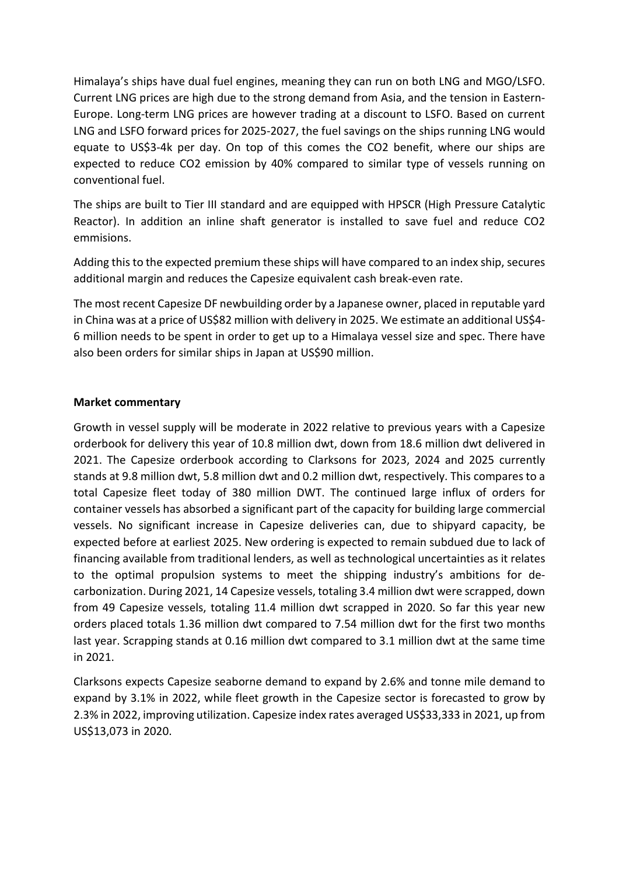Himalaya's ships have dual fuel engines, meaning they can run on both LNG and MGO/LSFO. Current LNG prices are high due to the strong demand from Asia, and the tension in Eastern-Europe. Long-term LNG prices are however trading at a discount to LSFO. Based on current LNG and LSFO forward prices for 2025-2027, the fuel savings on the ships running LNG would equate to US\$3-4k per day. On top of this comes the CO2 benefit, where our ships are expected to reduce CO2 emission by 40% compared to similar type of vessels running on conventional fuel.

The ships are built to Tier III standard and are equipped with HPSCR (High Pressure Catalytic Reactor). In addition an inline shaft generator is installed to save fuel and reduce CO2 emmisions.

Adding this to the expected premium these ships will have compared to an index ship, secures additional margin and reduces the Capesize equivalent cash break-even rate.

The most recent Capesize DF newbuilding order by a Japanese owner, placed in reputable yard in China was at a price of US\$82 million with delivery in 2025. We estimate an additional US\$4- 6 million needs to be spent in order to get up to a Himalaya vessel size and spec. There have also been orders for similar ships in Japan at US\$90 million.

## **Market commentary**

Growth in vessel supply will be moderate in 2022 relative to previous years with a Capesize orderbook for delivery this year of 10.8 million dwt, down from 18.6 million dwt delivered in 2021. The Capesize orderbook according to Clarksons for 2023, 2024 and 2025 currently stands at 9.8 million dwt, 5.8 million dwt and 0.2 million dwt, respectively. This compares to a total Capesize fleet today of 380 million DWT. The continued large influx of orders for container vessels has absorbed a significant part of the capacity for building large commercial vessels. No significant increase in Capesize deliveries can, due to shipyard capacity, be expected before at earliest 2025. New ordering is expected to remain subdued due to lack of financing available from traditional lenders, as well as technological uncertainties as it relates to the optimal propulsion systems to meet the shipping industry's ambitions for decarbonization. During 2021, 14 Capesize vessels, totaling 3.4 million dwt were scrapped, down from 49 Capesize vessels, totaling 11.4 million dwt scrapped in 2020. So far this year new orders placed totals 1.36 million dwt compared to 7.54 million dwt for the first two months last year. Scrapping stands at 0.16 million dwt compared to 3.1 million dwt at the same time in 2021.

Clarksons expects Capesize seaborne demand to expand by 2.6% and tonne mile demand to expand by 3.1% in 2022, while fleet growth in the Capesize sector is forecasted to grow by 2.3% in 2022, improving utilization. Capesize index rates averaged US\$33,333 in 2021, up from US\$13,073 in 2020.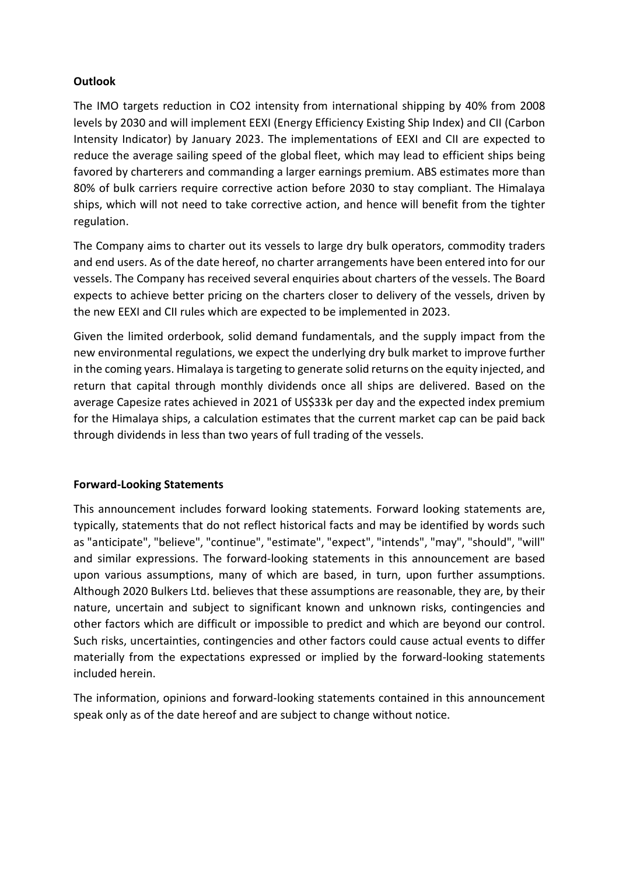# **Outlook**

The IMO targets reduction in CO2 intensity from international shipping by 40% from 2008 levels by 2030 and will implement EEXI (Energy Efficiency Existing Ship Index) and CII (Carbon Intensity Indicator) by January 2023. The implementations of EEXI and CII are expected to reduce the average sailing speed of the global fleet, which may lead to efficient ships being favored by charterers and commanding a larger earnings premium. ABS estimates more than 80% of bulk carriers require corrective action before 2030 to stay compliant. The Himalaya ships, which will not need to take corrective action, and hence will benefit from the tighter regulation.

The Company aims to charter out its vessels to large dry bulk operators, commodity traders and end users. As of the date hereof, no charter arrangements have been entered into for our vessels. The Company has received several enquiries about charters of the vessels. The Board expects to achieve better pricing on the charters closer to delivery of the vessels, driven by the new EEXI and CII rules which are expected to be implemented in 2023.

Given the limited orderbook, solid demand fundamentals, and the supply impact from the new environmental regulations, we expect the underlying dry bulk market to improve further in the coming years. Himalaya is targeting to generate solid returns on the equity injected, and return that capital through monthly dividends once all ships are delivered. Based on the average Capesize rates achieved in 2021 of US\$33k per day and the expected index premium for the Himalaya ships, a calculation estimates that the current market cap can be paid back through dividends in less than two years of full trading of the vessels.

#### **Forward-Looking Statements**

This announcement includes forward looking statements. Forward looking statements are, typically, statements that do not reflect historical facts and may be identified by words such as "anticipate", "believe", "continue", "estimate", "expect", "intends", "may", "should", "will" and similar expressions. The forward-looking statements in this announcement are based upon various assumptions, many of which are based, in turn, upon further assumptions. Although 2020 Bulkers Ltd. believes that these assumptions are reasonable, they are, by their nature, uncertain and subject to significant known and unknown risks, contingencies and other factors which are difficult or impossible to predict and which are beyond our control. Such risks, uncertainties, contingencies and other factors could cause actual events to differ materially from the expectations expressed or implied by the forward-looking statements included herein.

The information, opinions and forward-looking statements contained in this announcement speak only as of the date hereof and are subject to change without notice.